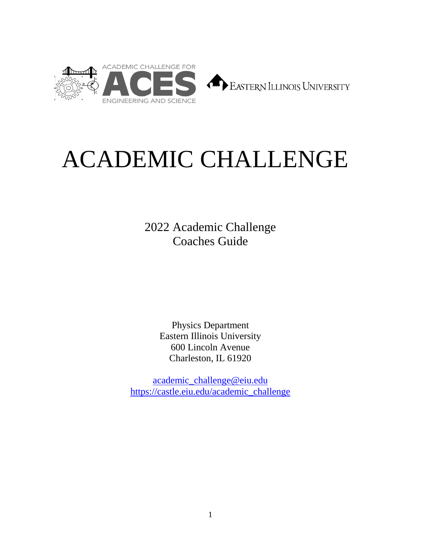



# ACADEMIC CHALLENGE

2022 Academic Challenge Coaches Guide

> Physics Department Eastern Illinois University 600 Lincoln Avenue Charleston, IL 61920

[academic\\_challenge@eiu.edu](mailto:academic_challenge@eiu.edu) [https://castle.eiu.edu/academic\\_challenge](https://castle.eiu.edu/academic_challenge)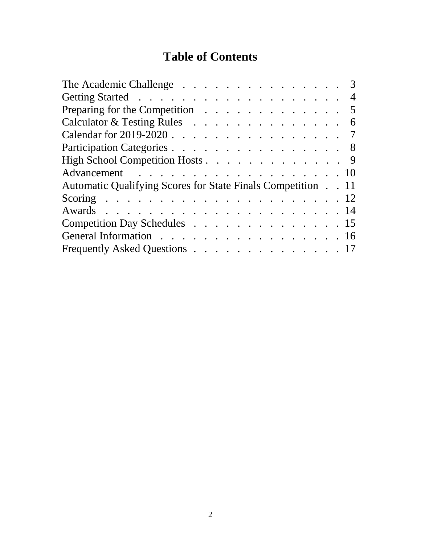# **Table of Contents**

| The Academic Challenge 3                                    |  |  |  |  |  |  |  |  |
|-------------------------------------------------------------|--|--|--|--|--|--|--|--|
|                                                             |  |  |  |  |  |  |  |  |
| Preparing for the Competition $\ldots$ 5                    |  |  |  |  |  |  |  |  |
| Calculator & Testing Rules 6                                |  |  |  |  |  |  |  |  |
| Calendar for 2019-2020 7                                    |  |  |  |  |  |  |  |  |
| Participation Categories 8                                  |  |  |  |  |  |  |  |  |
| High School Competition Hosts 9                             |  |  |  |  |  |  |  |  |
| Advancement 10                                              |  |  |  |  |  |  |  |  |
| Automatic Qualifying Scores for State Finals Competition 11 |  |  |  |  |  |  |  |  |
|                                                             |  |  |  |  |  |  |  |  |
|                                                             |  |  |  |  |  |  |  |  |
| Competition Day Schedules 15                                |  |  |  |  |  |  |  |  |
| General Information 16                                      |  |  |  |  |  |  |  |  |
| Frequently Asked Questions 17                               |  |  |  |  |  |  |  |  |
|                                                             |  |  |  |  |  |  |  |  |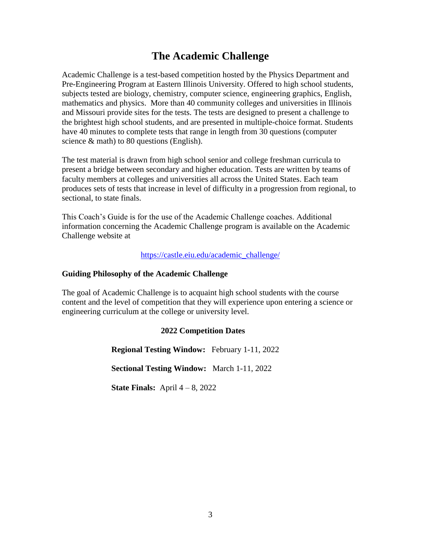### **The Academic Challenge**

Academic Challenge is a test-based competition hosted by the Physics Department and Pre-Engineering Program at Eastern Illinois University. Offered to high school students, subjects tested are biology, chemistry, computer science, engineering graphics, English, mathematics and physics. More than 40 community colleges and universities in Illinois and Missouri provide sites for the tests. The tests are designed to present a challenge to the brightest high school students, and are presented in multiple-choice format. Students have 40 minutes to complete tests that range in length from 30 questions (computer science & math) to 80 questions (English).

The test material is drawn from high school senior and college freshman curricula to present a bridge between secondary and higher education. Tests are written by teams of faculty members at colleges and universities all across the United States. Each team produces sets of tests that increase in level of difficulty in a progression from regional, to sectional, to state finals.

This Coach's Guide is for the use of the Academic Challenge coaches. Additional information concerning the Academic Challenge program is available on the Academic Challenge website at

[https://castle.eiu.edu/academic\\_challenge/](https://castle.eiu.edu/academic_challenge/)

### **Guiding Philosophy of the Academic Challenge**

The goal of Academic Challenge is to acquaint high school students with the course content and the level of competition that they will experience upon entering a science or engineering curriculum at the college or university level.

### **2022 Competition Dates**

**Regional Testing Window:** February 1-11, 2022

**Sectional Testing Window:** March 1-11, 2022

**State Finals:** April 4 – 8, 2022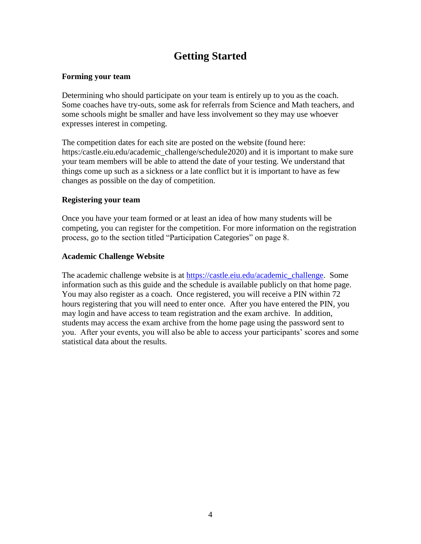# **Getting Started**

### **Forming your team**

Determining who should participate on your team is entirely up to you as the coach. Some coaches have try-outs, some ask for referrals from Science and Math teachers, and some schools might be smaller and have less involvement so they may use whoever expresses interest in competing.

The competition dates for each site are posted on the website (found here: https:/castle.eiu.edu/academic\_challenge/schedule2020) and it is important to make sure your team members will be able to attend the date of your testing. We understand that things come up such as a sickness or a late conflict but it is important to have as few changes as possible on the day of competition.

### **Registering your team**

Once you have your team formed or at least an idea of how many students will be competing, you can register for the competition. For more information on the registration process, go to the section titled "Participation Categories" on page 8.

### **Academic Challenge Website**

The academic challenge website is at [https://castle.eiu.edu/academic\\_challenge.](https://castle.eiu.edu/academic_challenge) Some information such as this guide and the schedule is available publicly on that home page. You may also register as a coach. Once registered, you will receive a PIN within 72 hours registering that you will need to enter once. After you have entered the PIN, you may login and have access to team registration and the exam archive. In addition, students may access the exam archive from the home page using the password sent to you. After your events, you will also be able to access your participants' scores and some statistical data about the results.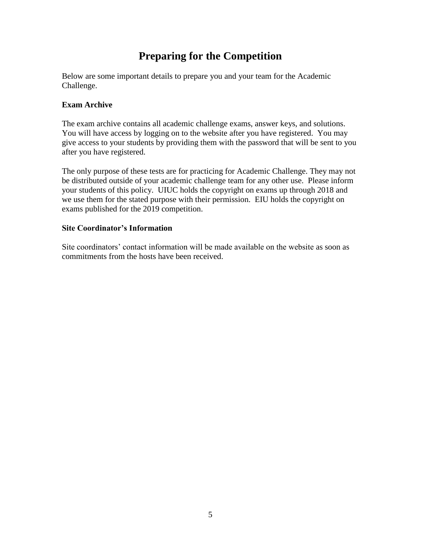# **Preparing for the Competition**

Below are some important details to prepare you and your team for the Academic Challenge.

### **Exam Archive**

The exam archive contains all academic challenge exams, answer keys, and solutions. You will have access by logging on to the website after you have registered. You may give access to your students by providing them with the password that will be sent to you after you have registered.

The only purpose of these tests are for practicing for Academic Challenge. They may not be distributed outside of your academic challenge team for any other use. Please inform your students of this policy. UIUC holds the copyright on exams up through 2018 and we use them for the stated purpose with their permission. EIU holds the copyright on exams published for the 2019 competition.

### **Site Coordinator's Information**

Site coordinators' contact information will be made available on the website as soon as commitments from the hosts have been received.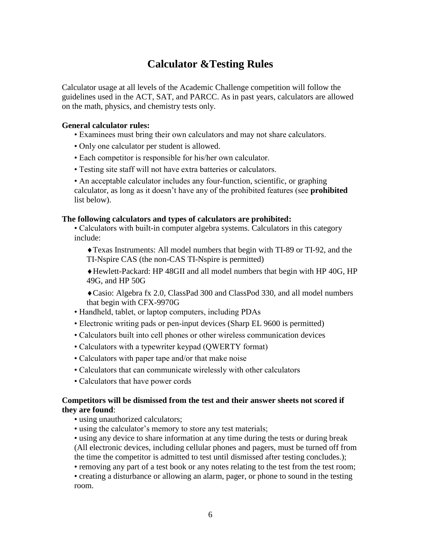# **Calculator &Testing Rules**

Calculator usage at all levels of the Academic Challenge competition will follow the guidelines used in the ACT, SAT, and PARCC. As in past years, calculators are allowed on the math, physics, and chemistry tests only.

#### **General calculator rules:**

• Examinees must bring their own calculators and may not share calculators.

- Only one calculator per student is allowed.
- Each competitor is responsible for his/her own calculator.
- Testing site staff will not have extra batteries or calculators.

• An acceptable calculator includes any four-function, scientific, or graphing calculator, as long as it doesn't have any of the prohibited features (see **prohibited**  list below).

### **The following calculators and types of calculators are prohibited:**

• Calculators with built-in computer algebra systems. Calculators in this category include:

Texas Instruments: All model numbers that begin with TI-89 or TI-92, and the TI-Nspire CAS (the non-CAS TI-Nspire is permitted)

Hewlett-Packard: HP 48GII and all model numbers that begin with HP 40G, HP 49G, and HP 50G

Casio: Algebra fx 2.0, ClassPad 300 and ClassPod 330, and all model numbers that begin with CFX-9970G

- Handheld, tablet, or laptop computers, including PDAs
- Electronic writing pads or pen-input devices (Sharp EL 9600 is permitted)
- Calculators built into cell phones or other wireless communication devices
- Calculators with a typewriter keypad (QWERTY format)
- Calculators with paper tape and/or that make noise
- Calculators that can communicate wirelessly with other calculators
- Calculators that have power cords

### **Competitors will be dismissed from the test and their answer sheets not scored if they are found**:

- using unauthorized calculators;
- using the calculator's memory to store any test materials;
- using any device to share information at any time during the tests or during break (All electronic devices, including cellular phones and pagers, must be turned off from the time the competitor is admitted to test until dismissed after testing concludes.);

• removing any part of a test book or any notes relating to the test from the test room;

• creating a disturbance or allowing an alarm, pager, or phone to sound in the testing room.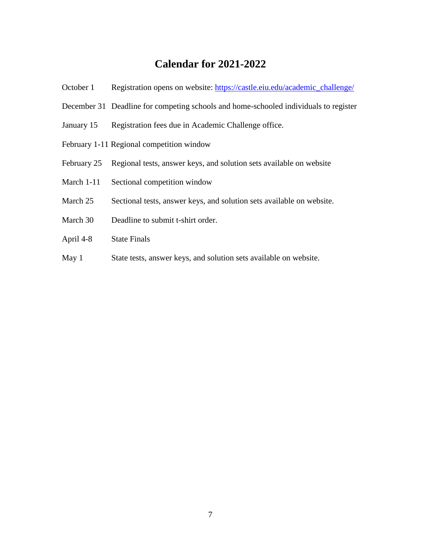# **Calendar for 2021-2022**

| October 1                                 | Registration opens on website: https://castle.eiu.edu/academic_challenge/            |  |  |  |  |  |  |
|-------------------------------------------|--------------------------------------------------------------------------------------|--|--|--|--|--|--|
|                                           | December 31 Deadline for competing schools and home-schooled individuals to register |  |  |  |  |  |  |
| January 15                                | Registration fees due in Academic Challenge office.                                  |  |  |  |  |  |  |
| February 1-11 Regional competition window |                                                                                      |  |  |  |  |  |  |
| February 25                               | Regional tests, answer keys, and solution sets available on website                  |  |  |  |  |  |  |
| March 1-11                                | Sectional competition window                                                         |  |  |  |  |  |  |
| March 25                                  | Sectional tests, answer keys, and solution sets available on website.                |  |  |  |  |  |  |
| March 30                                  | Deadline to submit t-shirt order.                                                    |  |  |  |  |  |  |
| April 4-8                                 | <b>State Finals</b>                                                                  |  |  |  |  |  |  |
| May $1$                                   | State tests, answer keys, and solution sets available on website.                    |  |  |  |  |  |  |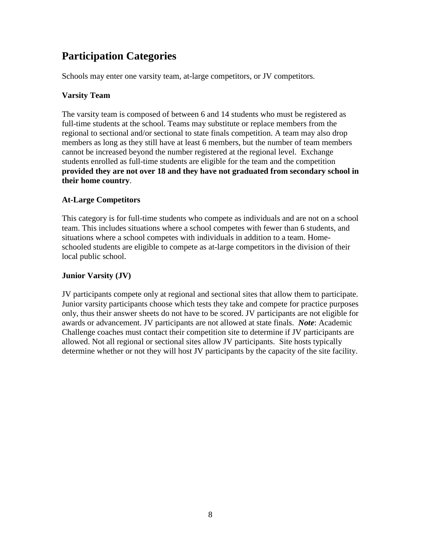# **Participation Categories**

Schools may enter one varsity team, at-large competitors, or JV competitors.

### **Varsity Team**

The varsity team is composed of between 6 and 14 students who must be registered as full-time students at the school. Teams may substitute or replace members from the regional to sectional and/or sectional to state finals competition. A team may also drop members as long as they still have at least 6 members, but the number of team members cannot be increased beyond the number registered at the regional level. Exchange students enrolled as full-time students are eligible for the team and the competition **provided they are not over 18 and they have not graduated from secondary school in their home country**.

### **At-Large Competitors**

This category is for full-time students who compete as individuals and are not on a school team. This includes situations where a school competes with fewer than 6 students, and situations where a school competes with individuals in addition to a team. Homeschooled students are eligible to compete as at-large competitors in the division of their local public school.

### **Junior Varsity (JV)**

JV participants compete only at regional and sectional sites that allow them to participate. Junior varsity participants choose which tests they take and compete for practice purposes only, thus their answer sheets do not have to be scored. JV participants are not eligible for awards or advancement. JV participants are not allowed at state finals. *Note*: Academic Challenge coaches must contact their competition site to determine if JV participants are allowed. Not all regional or sectional sites allow JV participants. Site hosts typically determine whether or not they will host JV participants by the capacity of the site facility.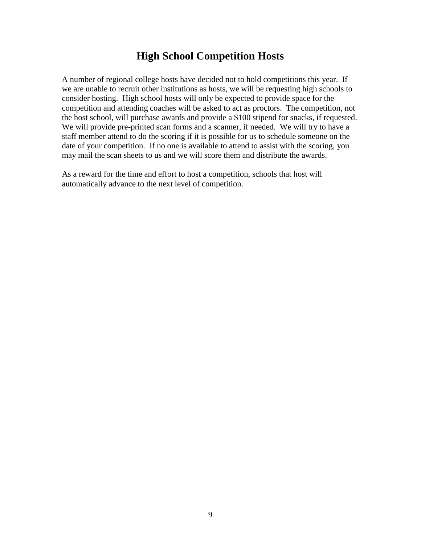### **High School Competition Hosts**

A number of regional college hosts have decided not to hold competitions this year. If we are unable to recruit other institutions as hosts, we will be requesting high schools to consider hosting. High school hosts will only be expected to provide space for the competition and attending coaches will be asked to act as proctors. The competition, not the host school, will purchase awards and provide a \$100 stipend for snacks, if requested. We will provide pre-printed scan forms and a scanner, if needed. We will try to have a staff member attend to do the scoring if it is possible for us to schedule someone on the date of your competition. If no one is available to attend to assist with the scoring, you may mail the scan sheets to us and we will score them and distribute the awards.

As a reward for the time and effort to host a competition, schools that host will automatically advance to the next level of competition.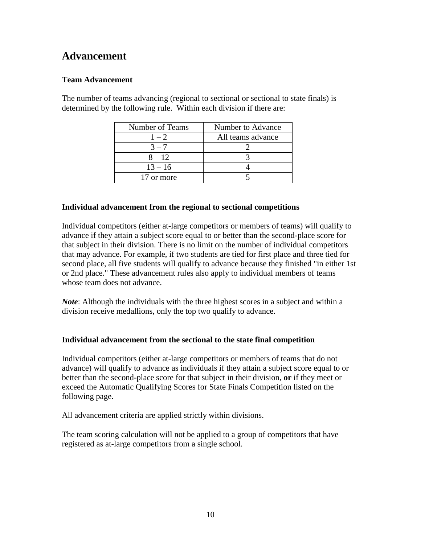# **Advancement**

### **Team Advancement**

The number of teams advancing (regional to sectional or sectional to state finals) is determined by the following rule. Within each division if there are:

| Number of Teams | Number to Advance |  |  |  |  |  |
|-----------------|-------------------|--|--|--|--|--|
| $1 - 2$         | All teams advance |  |  |  |  |  |
| $3 - 7$         |                   |  |  |  |  |  |
| $8 - 12$        |                   |  |  |  |  |  |
| $13 - 16$       |                   |  |  |  |  |  |
| 17 or more      |                   |  |  |  |  |  |

### **Individual advancement from the regional to sectional competitions**

Individual competitors (either at-large competitors or members of teams) will qualify to advance if they attain a subject score equal to or better than the second-place score for that subject in their division. There is no limit on the number of individual competitors that may advance. For example, if two students are tied for first place and three tied for second place, all five students will qualify to advance because they finished "in either 1st or 2nd place." These advancement rules also apply to individual members of teams whose team does not advance.

*Note*: Although the individuals with the three highest scores in a subject and within a division receive medallions, only the top two qualify to advance.

### **Individual advancement from the sectional to the state final competition**

Individual competitors (either at-large competitors or members of teams that do not advance) will qualify to advance as individuals if they attain a subject score equal to or better than the second-place score for that subject in their division, **or** if they meet or exceed the Automatic Qualifying Scores for State Finals Competition listed on the following page.

All advancement criteria are applied strictly within divisions.

The team scoring calculation will not be applied to a group of competitors that have registered as at-large competitors from a single school.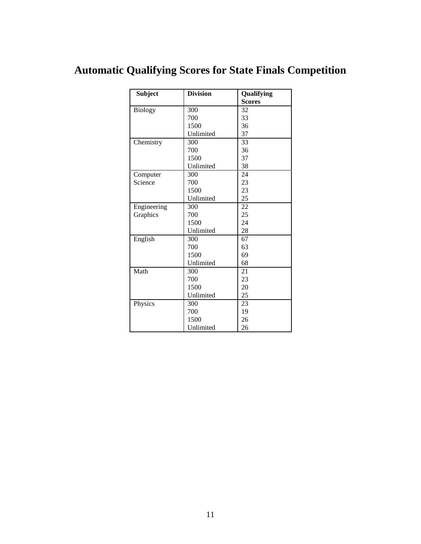# **Automatic Qualifying Scores for State Finals Competition**

| <b>Subject</b> | <b>Division</b> | Qualifying    |
|----------------|-----------------|---------------|
|                |                 | <b>Scores</b> |
| <b>Biology</b> | 300             | 32            |
|                | 700             | 33            |
|                | 1500            | 36            |
|                | Unlimited       | 37            |
| Chemistry      | 300             | 33            |
|                | 700             | 36            |
|                | 1500            | 37            |
|                | Unlimited       | 38            |
| Computer       | 300             | 24            |
| Science        | 700             | 23            |
|                | 1500            | 23            |
|                | Unlimited       | 25            |
| Engineering    | 300             | 22            |
| Graphics       | 700             | 25            |
|                | 1500            | 24            |
|                | Unlimited       | 28            |
| English        | 300             | 67            |
|                | 700             | 63            |
|                | 1500            | 69            |
|                | Unlimited       | 68            |
| Math           | 300             | 21            |
|                | 700             | 23            |
|                | 1500            | 20            |
|                | Unlimited       | 25            |
| Physics        | 300             | 23            |
|                | 700             | 19            |
|                | 1500            | 26            |
|                | Unlimited       | 26            |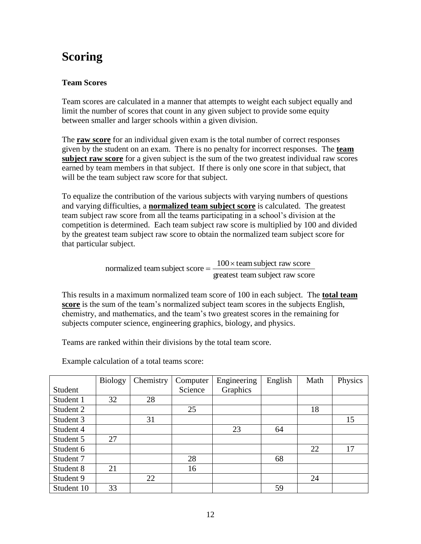# **Scoring**

### **Team Scores**

Team scores are calculated in a manner that attempts to weight each subject equally and limit the number of scores that count in any given subject to provide some equity between smaller and larger schools within a given division.

The **raw score** for an individual given exam is the total number of correct responses given by the student on an exam. There is no penalty for incorrect responses. The **team subject raw score** for a given subject is the sum of the two greatest individual raw scores earned by team members in that subject. If there is only one score in that subject, that will be the team subject raw score for that subject.

To equalize the contribution of the various subjects with varying numbers of questions and varying difficulties, a **normalized team subject score** is calculated. The greatest team subject raw score from all the teams participating in a school's division at the competition is determined. Each team subject raw score is multiplied by 100 and divided by the greatest team subject raw score to obtain the normalized team subject score for that particular subject.

> greatest team subject raw score normalized team subject score  $=$   $\frac{100 \times \text{team} \text{ subject raw score}}{100 \times \text{beam} \times \text{beam} \times \text{beam} \times \text{beam} \times \text{beam} \times \text{beam} \times \text{beam} \times \text{beam} \times \text{beam} \times \text{beam} \times \text{beam} \times \text{beam} \times \text{beam} \times \text{beam} \times \text{beam} \times \text{beam} \times \text{beam} \times \text{beam} \times \text{beam} \times \text{beam} \times \text{beam} \times \text{beam} \times \text{beam} \$

This results in a maximum normalized team score of 100 in each subject. The **total team score** is the sum of the team's normalized subject team scores in the subjects English, chemistry, and mathematics, and the team's two greatest scores in the remaining for subjects computer science, engineering graphics, biology, and physics.

Teams are ranked within their divisions by the total team score.

Example calculation of a total teams score:

|            | <b>Biology</b> | Chemistry | Computer | Engineering | English | Math | Physics |
|------------|----------------|-----------|----------|-------------|---------|------|---------|
| Student    |                |           | Science  | Graphics    |         |      |         |
| Student 1  | 32             | 28        |          |             |         |      |         |
| Student 2  |                |           | 25       |             |         | 18   |         |
| Student 3  |                | 31        |          |             |         |      | 15      |
| Student 4  |                |           |          | 23          | 64      |      |         |
| Student 5  | 27             |           |          |             |         |      |         |
| Student 6  |                |           |          |             |         | 22   | 17      |
| Student 7  |                |           | 28       |             | 68      |      |         |
| Student 8  | 21             |           | 16       |             |         |      |         |
| Student 9  |                | 22        |          |             |         | 24   |         |
| Student 10 | 33             |           |          |             | 59      |      |         |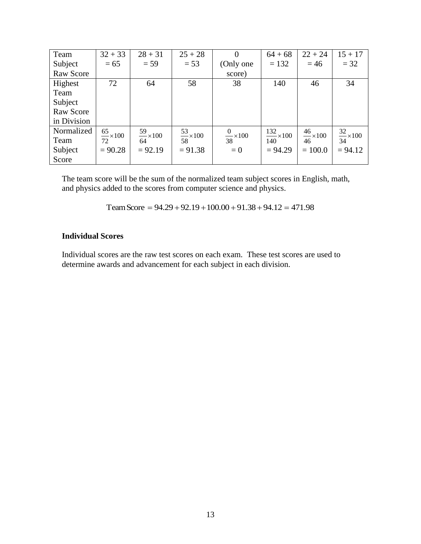| Team        | $32 + 33$                  | $28 + 31$                  | $25 + 28$                  | 0                         | $64 + 68$                    | $22 + 24$              | $15 + 17$                  |
|-------------|----------------------------|----------------------------|----------------------------|---------------------------|------------------------------|------------------------|----------------------------|
| Subject     | $= 65$                     | $= 59$                     | $= 53$                     | (Only one                 | $= 132$                      | $=46$                  | $=$ 32                     |
| Raw Score   |                            |                            |                            | score)                    |                              |                        |                            |
| Highest     | 72                         | 64                         | 58                         | 38                        | 140                          | 46                     | 34                         |
| Team        |                            |                            |                            |                           |                              |                        |                            |
| Subject     |                            |                            |                            |                           |                              |                        |                            |
| Raw Score   |                            |                            |                            |                           |                              |                        |                            |
| in Division |                            |                            |                            |                           |                              |                        |                            |
| Normalized  | $\frac{65}{72} \times 100$ | $\frac{59}{64} \times 100$ | $\frac{53}{58} \times 100$ |                           | $\frac{132}{140} \times 100$ | $\frac{46}{100}$ × 100 | $\frac{32}{34} \times 100$ |
| Team        |                            |                            |                            | $\frac{0}{38} \times 100$ |                              | 46                     |                            |
| Subject     | $= 90.28$                  | $= 92.19$                  | $= 91.38$                  | $= 0$                     | $= 94.29$                    | $= 100.0$              | $= 94.12$                  |
| Score       |                            |                            |                            |                           |                              |                        |                            |

The team score will be the sum of the normalized team subject scores in English, math, and physics added to the scores from computer science and physics.

Team Score =  $94.29 + 92.19 + 100.00 + 91.38 + 94.12 = 471.98$ 

### **Individual Scores**

Individual scores are the raw test scores on each exam. These test scores are used to determine awards and advancement for each subject in each division.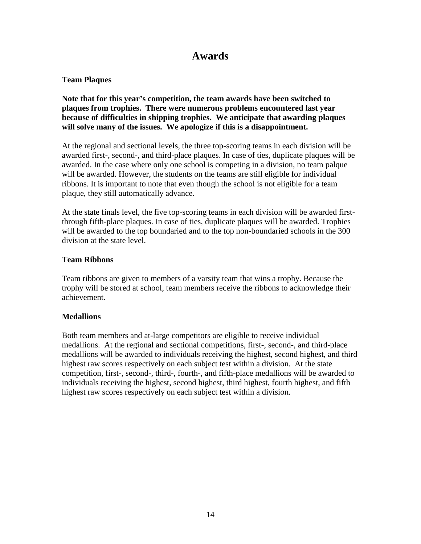### **Awards**

### **Team Plaques**

**Note that for this year's competition, the team awards have been switched to plaques from trophies. There were numerous problems encountered last year because of difficulties in shipping trophies. We anticipate that awarding plaques will solve many of the issues. We apologize if this is a disappointment.**

At the regional and sectional levels, the three top-scoring teams in each division will be awarded first-, second-, and third-place plaques. In case of ties, duplicate plaques will be awarded. In the case where only one school is competing in a division, no team palque will be awarded. However, the students on the teams are still eligible for individual ribbons. It is important to note that even though the school is not eligible for a team plaque, they still automatically advance.

At the state finals level, the five top-scoring teams in each division will be awarded firstthrough fifth-place plaques. In case of ties, duplicate plaques will be awarded. Trophies will be awarded to the top boundaried and to the top non-boundaried schools in the 300 division at the state level.

### **Team Ribbons**

Team ribbons are given to members of a varsity team that wins a trophy. Because the trophy will be stored at school, team members receive the ribbons to acknowledge their achievement.

### **Medallions**

Both team members and at-large competitors are eligible to receive individual medallions. At the regional and sectional competitions, first-, second-, and third-place medallions will be awarded to individuals receiving the highest, second highest, and third highest raw scores respectively on each subject test within a division. At the state competition, first-, second-, third-, fourth-, and fifth-place medallions will be awarded to individuals receiving the highest, second highest, third highest, fourth highest, and fifth highest raw scores respectively on each subject test within a division.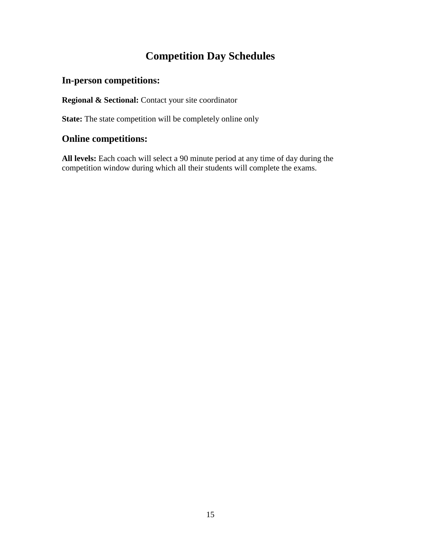# **Competition Day Schedules**

### **In-person competitions:**

**Regional & Sectional:** Contact your site coordinator

State: The state competition will be completely online only

### **Online competitions:**

**All levels:** Each coach will select a 90 minute period at any time of day during the competition window during which all their students will complete the exams.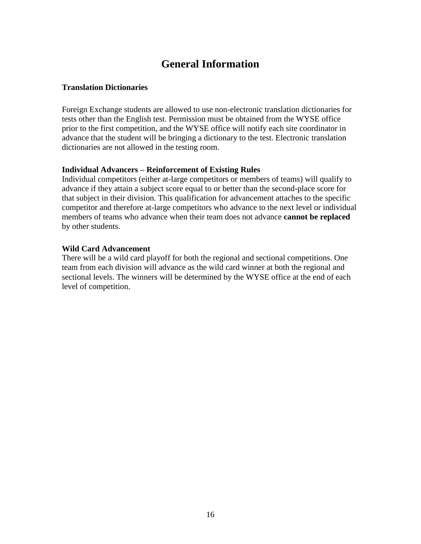## **General Information**

### **Translation Dictionaries**

Foreign Exchange students are allowed to use non-electronic translation dictionaries for tests other than the English test. Permission must be obtained from the WYSE office prior to the first competition, and the WYSE office will notify each site coordinator in advance that the student will be bringing a dictionary to the test. Electronic translation dictionaries are not allowed in the testing room.

### **Individual Advancers – Reinforcement of Existing Rules**

Individual competitors (either at-large competitors or members of teams) will qualify to advance if they attain a subject score equal to or better than the second-place score for that subject in their division. This qualification for advancement attaches to the specific competitor and therefore at-large competitors who advance to the next level or individual members of teams who advance when their team does not advance **cannot be replaced**  by other students.

### **Wild Card Advancement**

There will be a wild card playoff for both the regional and sectional competitions. One team from each division will advance as the wild card winner at both the regional and sectional levels. The winners will be determined by the WYSE office at the end of each level of competition.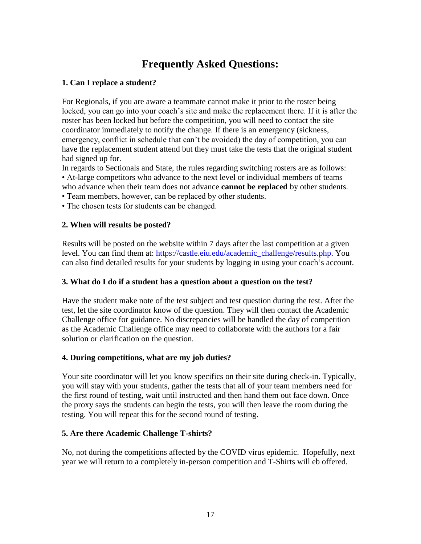# **Frequently Asked Questions:**

### **1. Can I replace a student?**

For Regionals, if you are aware a teammate cannot make it prior to the roster being locked, you can go into your coach's site and make the replacement there. If it is after the roster has been locked but before the competition, you will need to contact the site coordinator immediately to notify the change. If there is an emergency (sickness, emergency, conflict in schedule that can't be avoided) the day of competition, you can have the replacement student attend but they must take the tests that the original student had signed up for.

In regards to Sectionals and State, the rules regarding switching rosters are as follows: • At-large competitors who advance to the next level or individual members of teams who advance when their team does not advance **cannot be replaced** by other students.

• Team members, however, can be replaced by other students.

• The chosen tests for students can be changed.

### **2. When will results be posted?**

Results will be posted on the website within 7 days after the last competition at a given level. You can find them at: [https://castle.eiu.edu/academic\\_challenge/results.php.](https://castle.eiu.edu/academic_challenge/results.php) You can also find detailed results for your students by logging in using your coach's account.

### **3. What do I do if a student has a question about a question on the test?**

Have the student make note of the test subject and test question during the test. After the test, let the site coordinator know of the question. They will then contact the Academic Challenge office for guidance. No discrepancies will be handled the day of competition as the Academic Challenge office may need to collaborate with the authors for a fair solution or clarification on the question.

### **4. During competitions, what are my job duties?**

Your site coordinator will let you know specifics on their site during check-in. Typically, you will stay with your students, gather the tests that all of your team members need for the first round of testing, wait until instructed and then hand them out face down. Once the proxy says the students can begin the tests, you will then leave the room during the testing. You will repeat this for the second round of testing.

### **5. Are there Academic Challenge T-shirts?**

No, not during the competitions affected by the COVID virus epidemic. Hopefully, next year we will return to a completely in-person competition and T-Shirts will eb offered.